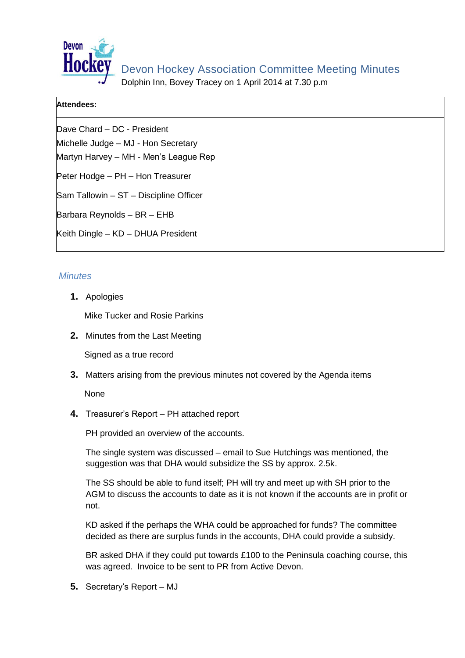

Dolphin Inn, Bovey Tracey on 1 April 2014 at 7.30 p.m

## **Attendees:**

Dave Chard – DC - President Michelle Judge – MJ - Hon Secretary Martyn Harvey – MH - Men's League Rep Peter Hodge – PH – Hon Treasurer Sam Tallowin – ST – Discipline Officer Barbara Reynolds – BR – EHB Keith Dingle – KD – DHUA President

## *Minutes*

**1.** Apologies

Mike Tucker and Rosie Parkins

**2.** Minutes from the Last Meeting

Signed as a true record

**3.** Matters arising from the previous minutes not covered by the Agenda items

None

**4.** Treasurer's Report – PH attached report

PH provided an overview of the accounts.

The single system was discussed – email to Sue Hutchings was mentioned, the suggestion was that DHA would subsidize the SS by approx. 2.5k.

The SS should be able to fund itself; PH will try and meet up with SH prior to the AGM to discuss the accounts to date as it is not known if the accounts are in profit or not.

KD asked if the perhaps the WHA could be approached for funds? The committee decided as there are surplus funds in the accounts, DHA could provide a subsidy.

BR asked DHA if they could put towards £100 to the Peninsula coaching course, this was agreed. Invoice to be sent to PR from Active Devon.

**5.** Secretary's Report – MJ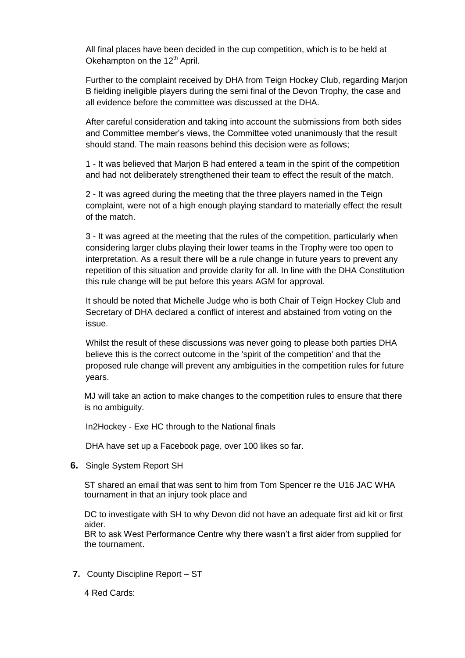All final places have been decided in the cup competition, which is to be held at Okehampton on the  $12<sup>th</sup>$  April.

Further to the complaint received by DHA from Teign Hockey Club, regarding Marjon B fielding ineligible players during the semi final of the Devon Trophy, the case and all evidence before the committee was discussed at the DHA.

After careful consideration and taking into account the submissions from both sides and Committee member's views, the Committee voted unanimously that the result should stand. The main reasons behind this decision were as follows;

1 - It was believed that Marjon B had entered a team in the spirit of the competition and had not deliberately strengthened their team to effect the result of the match.

2 - It was agreed during the meeting that the three players named in the Teign complaint, were not of a high enough playing standard to materially effect the result of the match.

3 - It was agreed at the meeting that the rules of the competition, particularly when considering larger clubs playing their lower teams in the Trophy were too open to interpretation. As a result there will be a rule change in future years to prevent any repetition of this situation and provide clarity for all. In line with the DHA Constitution this rule change will be put before this years AGM for approval.

It should be noted that Michelle Judge who is both Chair of Teign Hockey Club and Secretary of DHA declared a conflict of interest and abstained from voting on the issue.

Whilst the result of these discussions was never going to please both parties DHA believe this is the correct outcome in the 'spirit of the competition' and that the proposed rule change will prevent any ambiguities in the competition rules for future years.

MJ will take an action to make changes to the competition rules to ensure that there is no ambiguity.

In2Hockey - Exe HC through to the National finals

DHA have set up a Facebook page, over 100 likes so far.

**6.** Single System Report SH

ST shared an email that was sent to him from Tom Spencer re the U16 JAC WHA tournament in that an injury took place and

DC to investigate with SH to why Devon did not have an adequate first aid kit or first aider.

BR to ask West Performance Centre why there wasn't a first aider from supplied for the tournament.

- **7.** County Discipline Report ST
	- 4 Red Cards: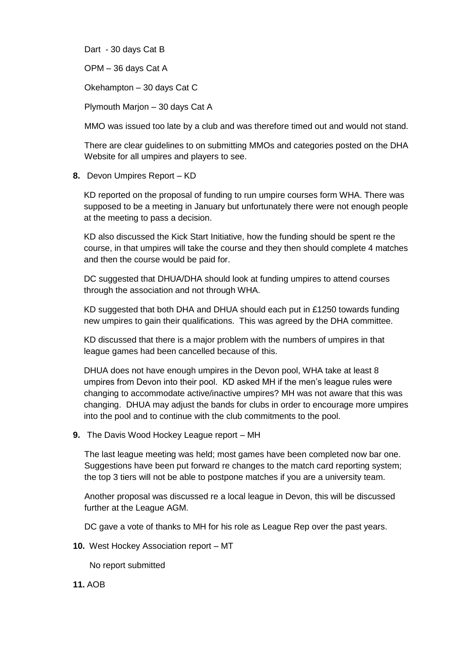Dart - 30 days Cat B

OPM – 36 days Cat A

Okehampton – 30 days Cat C

Plymouth Marjon – 30 days Cat A

MMO was issued too late by a club and was therefore timed out and would not stand.

There are clear guidelines to on submitting MMOs and categories posted on the DHA Website for all umpires and players to see.

**8.** Devon Umpires Report – KD

KD reported on the proposal of funding to run umpire courses form WHA. There was supposed to be a meeting in January but unfortunately there were not enough people at the meeting to pass a decision.

KD also discussed the Kick Start Initiative, how the funding should be spent re the course, in that umpires will take the course and they then should complete 4 matches and then the course would be paid for.

DC suggested that DHUA/DHA should look at funding umpires to attend courses through the association and not through WHA.

KD suggested that both DHA and DHUA should each put in £1250 towards funding new umpires to gain their qualifications. This was agreed by the DHA committee.

KD discussed that there is a major problem with the numbers of umpires in that league games had been cancelled because of this.

DHUA does not have enough umpires in the Devon pool, WHA take at least 8 umpires from Devon into their pool. KD asked MH if the men's league rules were changing to accommodate active/inactive umpires? MH was not aware that this was changing. DHUA may adjust the bands for clubs in order to encourage more umpires into the pool and to continue with the club commitments to the pool.

**9.** The Davis Wood Hockey League report – MH

The last league meeting was held; most games have been completed now bar one. Suggestions have been put forward re changes to the match card reporting system; the top 3 tiers will not be able to postpone matches if you are a university team.

Another proposal was discussed re a local league in Devon, this will be discussed further at the League AGM.

DC gave a vote of thanks to MH for his role as League Rep over the past years.

**10.** West Hockey Association report – MT

No report submitted

**11.** AOB